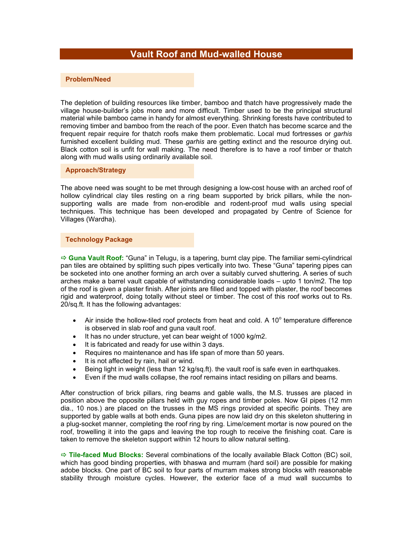# **Vault Roof and Mud-walled House**

### **Problem/Need**

The depletion of building resources like timber, bamboo and thatch have progressively made the village house-builder's jobs more and more difficult. Timber used to be the principal structural material while bamboo came in handy for almost everything. Shrinking forests have contributed to removing timber and bamboo from the reach of the poor. Even thatch has become scarce and the frequent repair require for thatch roofs make them problematic. Local mud fortresses or *garhis* furnished excellent building mud. These *garhis* are getting extinct and the resource drying out. Black cotton soil is unfit for wall making. The need therefore is to have a roof timber or thatch along with mud walls using ordinarily available soil.

**Approach/Strategy** 

The above need was sought to be met through designing a low-cost house with an arched roof of hollow cylindrical clay tiles resting on a ring beam supported by brick pillars, while the nonsupporting walls are made from non-erodible and rodent-proof mud walls using special techniques. This technique has been developed and propagated by Centre of Science for Villages (Wardha).

#### **Technology Package**

 $\Rightarrow$  **Guna Vault Roof:** "Guna" in Telugu, is a tapering, burnt clay pipe. The familiar semi-cylindrical pan tiles are obtained by splitting such pipes vertically into two. These "Guna" tapering pipes can be socketed into one another forming an arch over a suitably curved shuttering. A series of such arches make a barrel vault capable of withstanding considerable loads – upto 1 ton/m2. The top of the roof is given a plaster finish. After joints are filled and topped with plaster, the roof becomes rigid and waterproof, doing totally without steel or timber. The cost of this roof works out to Rs. 20/sq.ft. It has the following advantages:

- Air inside the hollow-tiled roof protects from heat and cold. A  $10^{\circ}$  temperature difference is observed in slab roof and guna vault roof.
- It has no under structure, yet can bear weight of 1000 kg/m2.
- It is fabricated and ready for use within 3 days.
- Requires no maintenance and has life span of more than 50 years.
- It is not affected by rain, hail or wind.
- Being light in weight (less than 12 kg/sq.ft). the vault roof is safe even in earthquakes.
- Even if the mud walls collapse, the roof remains intact residing on pillars and beams.

After construction of brick pillars, ring beams and gable walls, the M.S. trusses are placed in position above the opposite pillars held with guy ropes and timber poles. Now GI pipes (12 mm dia., 10 nos.) are placed on the trusses in the MS rings provided at specific points. They are supported by gable walls at both ends. Guna pipes are now laid dry on this skeleton shuttering in a plug-socket manner, completing the roof ring by ring. Lime/cement mortar is now poured on the roof, trowelling it into the gaps and leaving the top rough to receive the finishing coat. Care is taken to remove the skeleton support within 12 hours to allow natural setting.

Ö **Tile-faced Mud Blocks:** Several combinations of the locally available Black Cotton (BC) soil, which has good binding properties, with bhaswa and murram (hard soil) are possible for making adobe blocks. One part of BC soil to four parts of murram makes strong blocks with reasonable stability through moisture cycles. However, the exterior face of a mud wall succumbs to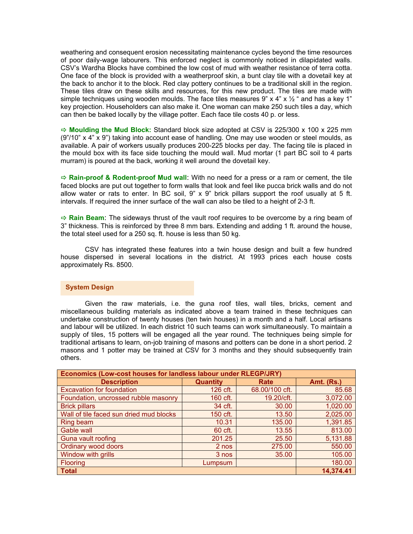weathering and consequent erosion necessitating maintenance cycles beyond the time resources of poor daily-wage labourers. This enforced neglect is commonly noticed in dilapidated walls. CSV's Wardha Blocks have combined the low cost of mud with weather resistance of terra cotta. One face of the block is provided with a weatherproof skin, a bunt clay tile with a dovetail key at the back to anchor it to the block. Red clay pottery continues to be a traditional skill in the region. These tiles draw on these skills and resources, for this new product. The tiles are made with simple techniques using wooden moulds. The face tiles measures 9" x 4" x  $\frac{1}{2}$  " and has a key 1" key projection. Householders can also make it. One woman can make 250 such tiles a day, which can then be baked locally by the village potter. Each face tile costs 40 p. or less.

Ö **Moulding the Mud Block:** Standard block size adopted at CSV is 225/300 x 100 x 225 mm (9"/10" x 4" x 9") taking into account ease of handling. One may use wooden or steel moulds, as available. A pair of workers usually produces 200-225 blocks per day. The facing tile is placed in the mould box with its face side touching the mould wall. Mud mortar (1 part BC soil to 4 parts murram) is poured at the back, working it well around the dovetail key.

 $\Rightarrow$  **Rain-proof & Rodent-proof Mud wall**: With no need for a press or a ram or cement, the tile faced blocks are put out together to form walls that look and feel like pucca brick walls and do not allow water or rats to enter. In BC soil,  $9$ " x  $9$ " brick pillars support the roof usually at 5 ft. intervals. If required the inner surface of the wall can also be tiled to a height of 2-3 ft.

 $\Rightarrow$  **Rain Beam**: The sideways thrust of the vault roof requires to be overcome by a ring beam of 3" thickness. This is reinforced by three 8 mm bars. Extending and adding 1 ft. around the house, the total steel used for a 250 sq. ft. house is less than 50 kg.

CSV has integrated these features into a twin house design and built a few hundred house dispersed in several locations in the district. At 1993 prices each house costs approximately Rs. 8500.

#### **System Design**

Given the raw materials, i.e. the guna roof tiles, wall tiles, bricks, cement and miscellaneous building materials as indicated above a team trained in these techniques can undertake construction of twenty houses (ten twin houses) in a month and a half. Local artisans and labour will be utilized. In each district 10 such teams can work simultaneously. To maintain a supply of tiles, 15 potters will be engaged all the year round. The techniques being simple for traditional artisans to learn, on-job training of masons and potters can be done in a short period. 2 masons and 1 potter may be trained at CSV for 3 months and they should subsequently train others.

| Economics (Low-cost houses for landless labour under RLEGP/JRY) |                 |                |                   |
|-----------------------------------------------------------------|-----------------|----------------|-------------------|
| <b>Description</b>                                              | <b>Quantity</b> | Rate           | <b>Amt. (Rs.)</b> |
| <b>Excavation for foundation</b>                                | 126 cft.        | 68.00/100 cft. | 85.68             |
| Foundation, uncrossed rubble masonry                            | 160 cft.        | 19.20/cft.     | 3,072.00          |
| <b>Brick pillars</b>                                            | 34 cft.         | 30.00          | 1,020.00          |
| Wall of tile faced sun dried mud blocks                         | 150 cft.        | 13.50          | 2,025.00          |
| Ring beam                                                       | 10.31           | 135.00         | 1,391.85          |
| Gable wall                                                      | 60 cft.         | 13.55          | 813.00            |
| Guna vault roofing                                              | 201.25          | 25.50          | 5,131.88          |
| Ordinary wood doors                                             | 2 nos           | 275.00         | 550.00            |
| Window with grills                                              | 3 nos           | 35.00          | 105.00            |
| Flooring                                                        | Lumpsum         |                | 180.00            |
| <b>Total</b>                                                    |                 |                | 14,374.41         |